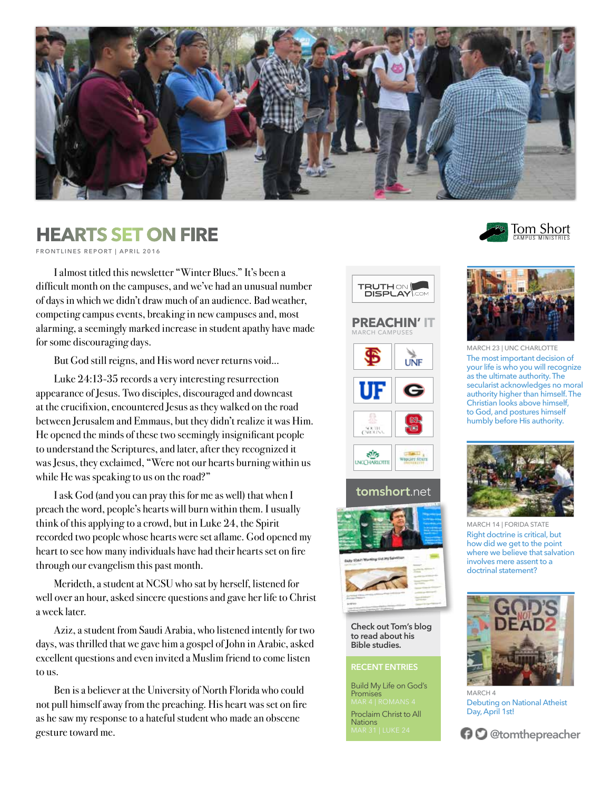

## **The SET ON FIRE** The Second Set On Short **The Second Second Second Second Second Second Second Second Second Second Second Second Second Second Second Second Second Second Second Second Second Second Second Second Second**

**FRONTLINES REPORT | APRIL 2016**

I almost titled this newsletter "Winter Blues." It's been a difficult month on the campuses, and we've had an unusual number of days in which we didn't draw much of an audience. Bad weather, competing campus events, breaking in new campuses and, most alarming, a seemingly marked increase in student apathy have made for some discouraging days.

But God still reigns, and His word never returns void...

Luke 24:13-35 records a very interesting resurrection appearance of Jesus. Two disciples, discouraged and downcast at the crucifixion, encountered Jesus as they walked on the road between Jerusalem and Emmaus, but they didn't realize it was Him. He opened the minds of these two seemingly insignificant people to understand the Scriptures, and later, after they recognized it was Jesus, they exclaimed, "Were not our hearts burning within us while He was speaking to us on the road?"

I ask God (and you can pray this for me as well) that when I preach the word, people's hearts will burn within them. I usually think of this applying to a crowd, but in Luke 24, the Spirit recorded two people whose hearts were set aflame. God opened my heart to see how many individuals have had their hearts set on fire through our evangelism this past month.

Merideth, a student at NCSU who sat by herself, listened for well over an hour, asked sincere questions and gave her life to Christ a week later.

Aziz, a student from Saudi Arabia, who listened intently for two days, was thrilled that we gave him a gospel of John in Arabic, asked excellent questions and even invited a Muslim friend to come listen to us.

Ben is a believer at the University of North Florida who could not pull himself away from the preaching. His heart was set on fire as he saw my response to a hateful student who made an obscene gesture toward me.



**tomshort**.net





**Check out Tom's blog to read about his Bible studies.**

## **RECENT ENTRIES**

Build My Life on God's **Promises** Proclaim Christ to All **Nations** 





MARCH 23 | UNC CHARLOTTE The most important decision of your life is who you will recognize as the ultimate authority. The secularist acknowledges no moral authority higher than himself. The Christian looks above himself, to God, and postures himself humbly before His authority.



MARCH 14 | FORIDA STATE Right doctrine is critical, but how did we get to the point where we believe that salvation involves mere assent to a doctrinal statement?



MARCH 4 Debuting on National Atheist Day, April 1st!